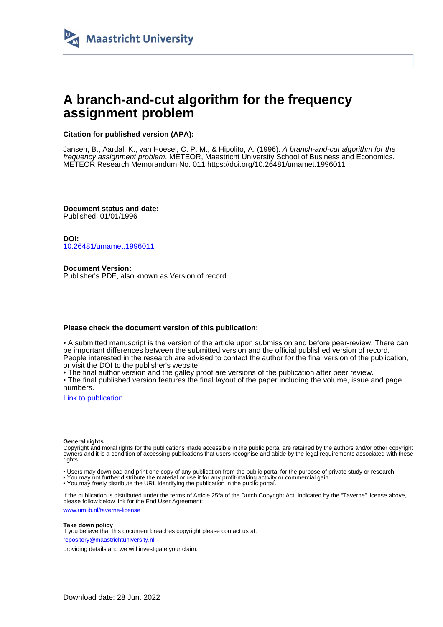

# **A branch-and-cut algorithm for the frequency assignment problem**

### **Citation for published version (APA):**

Jansen, B., Aardal, K., van Hoesel, C. P. M., & Hipolito, A. (1996). A branch-and-cut algorithm for the frequency assignment problem. METEOR, Maastricht University School of Business and Economics. METEOR Research Memorandum No. 011<https://doi.org/10.26481/umamet.1996011>

**Document status and date:** Published: 01/01/1996

**DOI:** [10.26481/umamet.1996011](https://doi.org/10.26481/umamet.1996011)

**Document Version:** Publisher's PDF, also known as Version of record

#### **Please check the document version of this publication:**

• A submitted manuscript is the version of the article upon submission and before peer-review. There can be important differences between the submitted version and the official published version of record. People interested in the research are advised to contact the author for the final version of the publication, or visit the DOI to the publisher's website.

• The final author version and the galley proof are versions of the publication after peer review.

• The final published version features the final layout of the paper including the volume, issue and page numbers.

[Link to publication](https://cris.maastrichtuniversity.nl/en/publications/26ac4aa9-3647-4f6f-8072-69521f019f84)

#### **General rights**

Copyright and moral rights for the publications made accessible in the public portal are retained by the authors and/or other copyright owners and it is a condition of accessing publications that users recognise and abide by the legal requirements associated with these rights.

• Users may download and print one copy of any publication from the public portal for the purpose of private study or research.

• You may not further distribute the material or use it for any profit-making activity or commercial gain

• You may freely distribute the URL identifying the publication in the public portal.

If the publication is distributed under the terms of Article 25fa of the Dutch Copyright Act, indicated by the "Taverne" license above, please follow below link for the End User Agreement:

www.umlib.nl/taverne-license

#### **Take down policy**

If you believe that this document breaches copyright please contact us at: repository@maastrichtuniversity.nl

providing details and we will investigate your claim.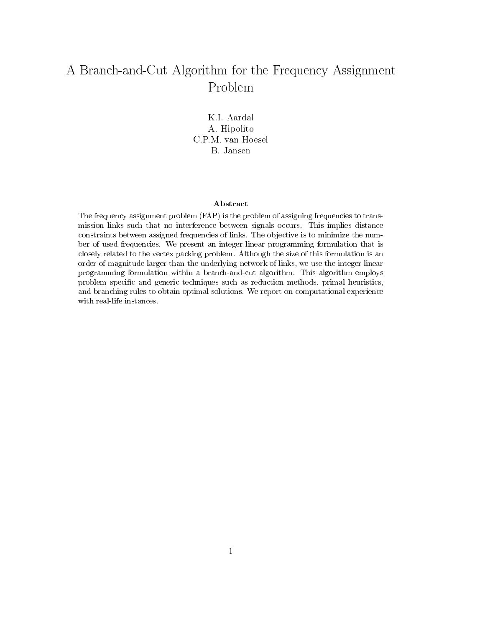# A Branch-and-Cut Algorithm for the Frequency Assignment Problem

K.I. Aardal A. Hipolito C.P.M. van Hoesel B. Jansen

#### Abstract

The frequency assignment problem (FAP) is the problem of assigning frequencies to transmission links such that no interference between signals occurs. This implies distance constraints between assigned frequencies of links. The ob jective is to minimize the number of used frequencies. We present an integer linear programming formulation that is closely related to the vertex packing problem. Although the size of this formulation is an order of magnitude larger than the underlying network of links, we use the integer linear programming formulation within a branch-and-cut algorithm. This algorithm employs problem specic and generic techniques such as reduction methods, primal heuristics, and branching rules to obtain optimal solutions. We report on computational experience with real-life instances.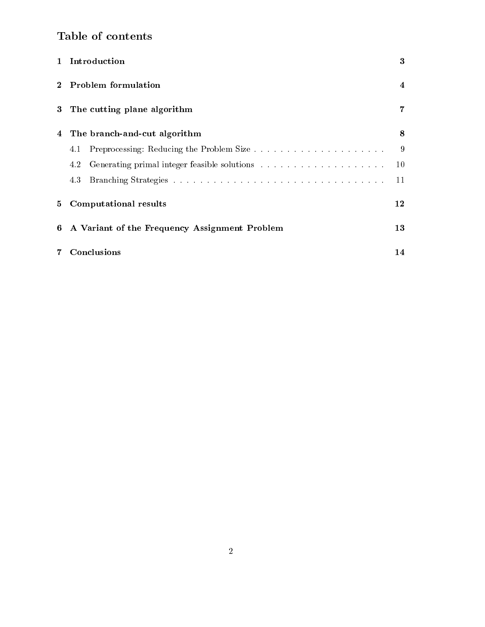# Table of contents

|         | 1 Introduction                                | 3  |  |
|---------|-----------------------------------------------|----|--|
| $2^{-}$ | Problem formulation                           | 4  |  |
|         | 3 The cutting plane algorithm                 | 7  |  |
| 4       | The branch-and-cut algorithm                  | 8  |  |
|         | 4.1                                           | 9  |  |
|         | 4.2                                           | 10 |  |
|         | 4.3                                           | 11 |  |
|         | 5 Computational results                       | 12 |  |
| 6       | A Variant of the Frequency Assignment Problem | 13 |  |
| $7 -$   | Conclusions                                   | 14 |  |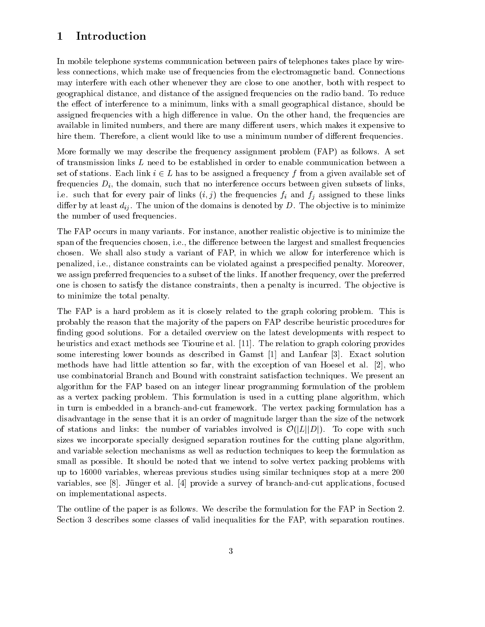## 1 Introduction

In mobile telephone systems communication between pairs of telephones takes place by wireless connections, which make use of frequencies from the electromagnetic band. Connections may interfere with each other whenever they are close to one another, both with respect to geographical distance, and distance of the assigned frequencies on the radio band. To reduce the effect of interference to a minimum, links with a small geographical distance, should be assigned frequencies with a high difference in value. On the other hand, the frequencies are available in limited numbers, and there are many different users, which makes it expensive to hire them. Therefore, a client would like to use a minimum number of different frequencies.

More formally we may describe the frequency assignment problem (FAP) as follows. A set of transmission links <sup>L</sup> need to be established in order to enable communication between a set of stations. Each link <sup>i</sup> 2 <sup>L</sup> has to be assigned a frequency <sup>f</sup> from a given available set of frequencies  $D_i$ , the domain, such that no interference occurs between given subsets of links, i.e. such that for every pair of links  $(i, j)$  the frequencies  $f_i$  and  $f_j$  assigned to these links dier by at least  $\alpha_i$  . The union of the domains is denoted by  $\alpha_j$  . The objective is to minimize is the number of used frequencies.

The FAP occurs in many variants. For instance, another realistic objective is to minimize the span of the frequencies chosen, i.e., the difference between the largest and smallest frequencies chosen. We shall also study a variant of FAP, in which we allow for interference which is penalized, i.e., distance constraints can be violated against a prespecied penalty. Moreover, we assign preferred frequencies to a subset of the links. If another frequency, over the preferred one is chosen to satisfy the distance constraints, then a penalty is incurred. The ob jective is to minimize the total penalty.

The FAP is a hard problem as it is closely related to the graph coloring problem. This is probably the reason that the ma jority of the papers on FAP describe heuristic procedures for finding good solutions. For a detailed overview on the latest developments with respect to heuristics and exact methods see Tiourine et al. [11]. The relation to graph coloring provides some interesting lower bounds as described in Gamst [1] and Lanfear [3]. Exact solution methods have had little attention so far, with the exception of van Hoesel et al. [2], who use combinatorial Branch and Bound with constraint satisfaction techniques. We present an algorithm for the FAP based on an integer linear programming formulation of the problem as a vertex packing problem. This formulation is used in a cutting plane algorithm, which in turn is embedded in a branch-and-cut framework. The vertex packing formulation has a disadvantage in the sense that it is an order of magnitude larger than the size of the network of stations and infinite the number of variables involved is  $\mathbf{v}$  ( $|\mathbf{L}| |\mathbf{L}|$ ). To cope with such  $\mathbf{v}$ sizes we incorporate specially designed separation routines for the cutting plane algorithm, and variable selection mechanisms as well as reduction techniques to keep the formulation as small as possible. It should be noted that we intend to solve vertex packing problems with up to 16000 variables, whereas previous studies using similar techniques stop at a mere 200 variables, see [8]. Jünger et al. [4] provide a survey of branch-and-cut applications, focused on implementational aspects.

The outline of the paper is as follows. We describe the formulation for the FAP in Section 2. Section 3 describes some classes of valid inequalities for the FAP, with separation routines.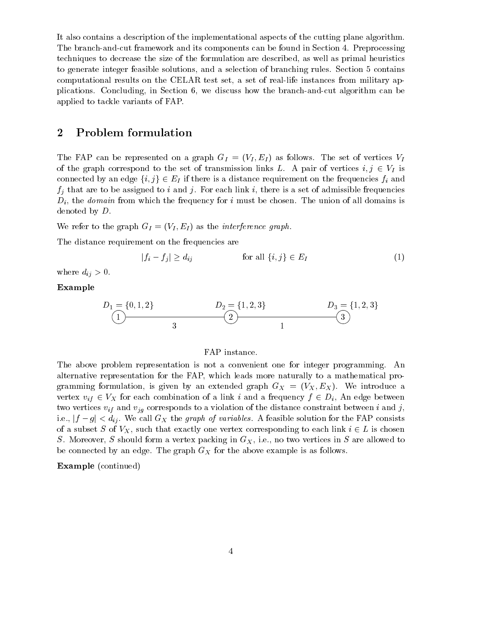It also contains a description of the implementational aspects of the cutting plane algorithm. The branch-and-cut framework and its components can be found in Section 4. Preprocessing techniques to decrease the size of the formulation are described, as well as primal heuristics to generate integer feasible solutions, and a selection of branching rules. Section 5 contains computational results on the CELAR test set, a set of real-life instances from military applications. Concluding, in Section 6, we discuss how the branch-and-cut algorithm can be applied to tackle variants of FAP.

### 2 Problem formulation

The FAI can be represented on a graph  $G_I = (V_I, E_I)$  as follows. The set of vertices  $V_I$ of the graph correspond to the set of transmission links  $L$ . A pair of vertices  $i, j \in V$  is connected by an edge  $f_i$ ,  $j_f \in E_i$  if there is a distance requirement on the frequencies  $j_i$  and  $j_i$  that are to be assigned to i and j. For each link i, there is a set of admissible frequencies  $D_i$ , the *domain* from which the frequency for i must be chosen. The union of all domains is denoted by D.

We refer to the graph  $G_I = (V_I, E_I)$  as the *interference graph*.

The distance requirement on the frequencies are

$$
|f_i - f_j| \ge d_{ij} \qquad \text{for all } \{i, j\} \in E_I \tag{1}
$$

where  $\omega_{ij}$  > 0.

### Example

$$
D_1 = \{0, 1, 2\}
$$
  
 
$$
D_2 = \{1, 2, 3\}
$$
  
 
$$
D_3 = \{1, 2, 3\}
$$
  
 
$$
D_4 = \{1, 2, 3\}
$$
  
 
$$
D_5 = \{1, 2, 3\}
$$

### FAP instance.

The above problem representation is not a convenient one for integer programming. An alternative representation for the FAP, which leads more naturally to a mathematical programming formulation, is given by an extended graph  $G_X = (V_X, E_X)$ . We introduce a vertex  $v_i$   $\in$   $\mathcal{V}_A$  for each combination of a link  $i$  and a frequency  $f$   $\in$   $\mathcal{V}_i$  and edge between two vertices vif and vjg corresponds to a violation of the distance constraint between <sup>i</sup> and j, i.e.,  $|f-g| < d_{ij}$ . We call  $G_X$  the graph of variables. A feasible solution for the FAP consists of a subset  $S$  of  $Y_{A}$  , such that exactly one vertex corresponding to each link  $i \in \mathcal{I}$  is chosen S. Moreover, S should form a vertex packing in  $G<sub>X</sub>$ , i.e., no two vertices in S are allowed to be connected by an edge. The graph GX for the above examples is as follows.

### Example (continued)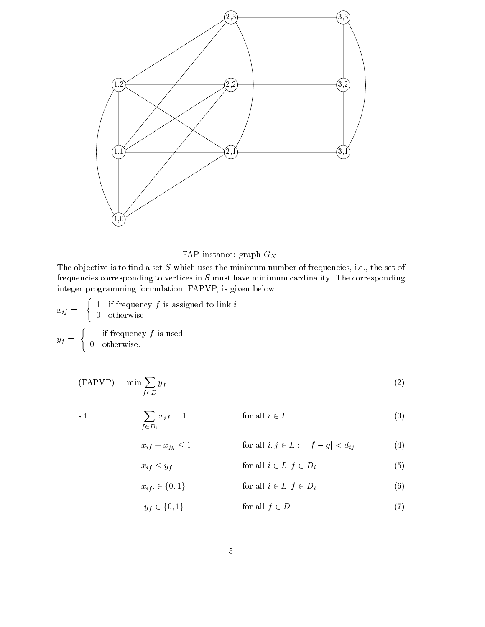

FAP instance: graph  $G_X$ .<br>The objective is to find a set S which uses the minimum number of frequencies, i.e., the set of frequencies corresponding to vertices in  $S$  must have minimum cardinality. The corresponding integer programming formulation, FAPVP, is given below.

$$
x_{if} = \begin{cases} 1 & \text{if frequency } f \text{ is assigned to link } i \\ 0 & \text{otherwise,} \end{cases}
$$

$$
y_{f} = \begin{cases} 1 & \text{if frequency } f \text{ is used} \\ 0 & \text{otherwise.} \end{cases}
$$

 $x_{if}$ 

 $x_{if} \leq y_f$ 

$$
\text{(FAPVP)} \qquad \min \sum_{f \in D} y_f \tag{2}
$$

s.t.  $\sum x_{i} = 1$  $\sum_{f \in D_i} x_i f$  = 1 and  $\sum_{i=1}^{\infty} x_i$  (3)

$$
+ x_{jg} \le 1 \qquad \text{for all } i, j \in L: \quad |f - g| < d_{ij} \tag{4}
$$

$$
\leq y_f \qquad \qquad \text{for all } i \in L, f \in D_i \tag{5}
$$

$$
x_{if}, \in \{0, 1\} \qquad \text{for all } i \in L, f \in D_i \qquad (6)
$$

$$
y_f \in \{0, 1\} \qquad \text{for all } f \in D \tag{7}
$$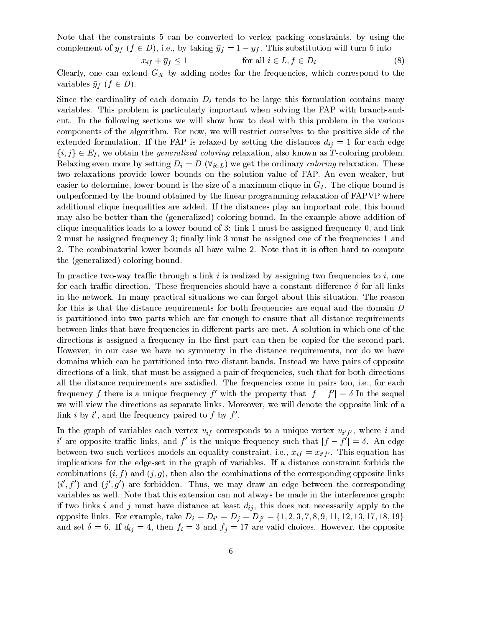Note that the constraints 5 can be converted to vertex packing constraints, by using the complement of  $y_j$  ( $j \in D$ ), i.e., by taking  $y_j$  . The function will turn substitution will be into

$$
x_{if} + \bar{y}_f \le 1 \qquad \text{for all } i \in L, f \in D_i \tag{8}
$$

Clearly, one can extend GX by adding nodes for the frequencies, which correspond to the  $\alpha$  is a discrete  $\beta$  of  $\alpha$  and  $\beta$ .

 $S_{\texttt{NLO}}$  and cardinally of each domain  $D_{l}$  tends to be large this formulation contains many variables. This problem is particularly important when solving the FAP with branch-andcut. In the following sections we will show how to deal with this problem in the various components of the algorithm. For now, we will restrict ourselves to the positive side of the extended formulation. If the FAP is relaxed by setting the distances  $\mathcal{U}_I$  = 1 for each edge  $f(t, Jf \in E_I)$ , we obtain the *generalized coloring* relaxation, also known as T-coloring problem.<br>Relaxing even more by setting  $D_i = D(\forall_{i \in L})$  we get the ordinary *coloring* relaxation. These two relaxations provide lower bounds on the solution value of FAP. An even weaker, but easier to determine, lower bound is the size of a maximum clique in GI . The clique bound is outperformed by the bound obtained by the linear programming relaxation of FAPVP where additional clique inequalities are added. If the distances play an important role, this bound may also be better than the (generalized) coloring bound. In the example above addition of clique inequalities leads to a lower bound of 3: link 1 must be assigned frequency 0, and link 2 must be assigned frequency 3; finally link 3 must be assigned one of the frequencies 1 and 2. The combinatorial lower bounds all have value 2. Note that it is often hard to compute the (generalized) coloring bound.

In practice two-way traffic through a link i is realized by assigning two frequencies to i, one for each traffic direction. These frequencies should have a constant difference  $\delta$  for all links in the network. In many practical situations we can forget about this situation. The reason for this is that the distance requirements for both frequencies are equal and the domain <sup>D</sup> is partitioned into two parts which are far enough to ensure that all distance requirements between links that have frequencies in different parts are met. A solution in which one of the directions is assigned a frequency in the first part can then be copied for the second part. However, in our case we have no symmetry in the distance requirements, nor do we have domains which can be partitioned into two distant bands. Instead we have pairs of opposite directions of a link, that must be assigned a pair of frequencies, such that for both directions all the distance requirements are satisfied. The frequencies come in pairs too, i.e., for each frequency f there is a unique frequency f' with the property that  $|f - f'| = \delta$  In the sequel we will view the directions as separate links. Moreover, we will denote the opposite link of a  $\lim_{u \to 0} u$ , and the frequency paired to f by f.

In the graph of variables each vertex  $\alpha_{ij}$  corresponds to a unique vertex  $\alpha_{ij}$  ), where  $i$  and  $i$  are opposite trainc links, and f is the unique frequency such that  $|f - f| = o$ . An edge  $\sim$  . This such vertices models an equation on equation  $\alpha$ ,  $\alpha$  ,  $\alpha$ implications for the edge-set in the graph of variables. If a distance constraint forbids the combinations  $(i, f)$  and  $(j, g)$ , then also the combinations of the corresponding opposite links  $(i,j)$  and  $(j,\bar{q})$  are forbidden. Thus, we may draw an edge between the corresponding variables as well. Note that this extension can not always be made in the interference graph: if two links <sup>i</sup> and <sup>j</sup> must have distance at least dij , this does not necessarily apply to the opposite limits. For example, take  $\Psi$   $\mu$   $=$   $\mu$ and set if the fill the set of  $\mathcal{A}$  if the final field choices. However, the opposite set of  $\mathcal{A}$  if  $\mathcal{A}$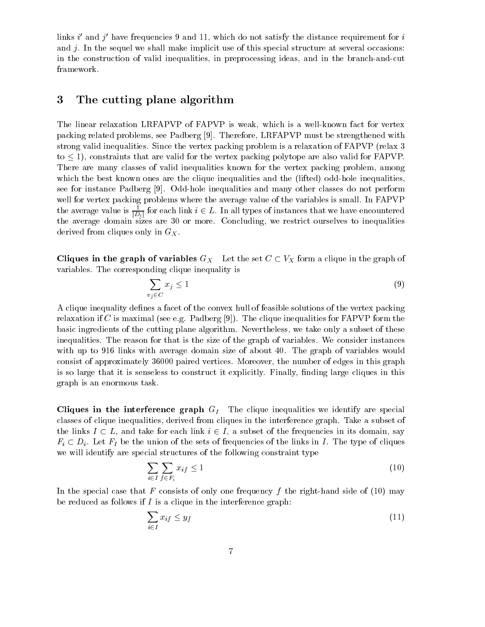links  $i$  and  $j$  have frequencies 9 and 11, which do not satisfy the distance requirement for  $i$ and  $i$ . In the sequel we shall make implicit use of this special structure at several occasions: in the construction of valid inequalities, in preprocessing ideas, and in the branch-and-cut framework.

## 3 The cutting plane algorithm

The linear relaxation LRFAPVP of FAPVP is weak, which is a well-known fact for vertex packing related problems, see Padberg [9]. Therefore, LRFAPVP must be strengthened with strong valid inequalities. Since the vertex packing problem is a relaxation of FAPVP (relax 3 to are valid for the valid for the valid for the valid for  $\alpha$  packing polytope are also valid for  $\alpha$ There are many classes of valid inequalities known for the vertex packing problem, among which the best known ones are the clique inequalities and the (lifted) odd-hole inequalities, see for instance Padberg [9]. Odd-hole inequalities and many other classes do not perform well for vertex packing problems where the average value of the variables is small. In FAPVP the average value is  $\frac{1}{|D_i|}$  for each link  $i \in L$ . In all types of instances that we have encountered the average domain sizes are 30 or more. Concluding, we restrict ourselves to inequalities

derived from cliques only in G<sub>X</sub>.<br>Cliques in the graph of variables  $G_X$  Let the set  $C \subset V_X$  form a clique in the graph of variables. The corresponding clique inequality is

$$
\sum_{v_j \in C} x_j \le 1 \tag{9}
$$

A clique inequality defines a facet of the convex hull of feasible solutions of the vertex packing relaxation if C is maximal (see e.g. Padberg [9]). The clique inequalities for FAPVP form the basic ingredients of the cutting plane algorithm. Nevertheless, we take only a subset of these inequalities. The reason for that is the size of the graph of variables. We consider instances with up to 916 links with average domain size of about 40. The graph of variables would consist of approximately 36000 paired vertices. Moreover, the number of edges in this graph is so large that it is senseless to construct it explicitly. Finally, finding large cliques in this graph is an enormous task.

 $\mathcal{L}$  in the interference graph  $G_1$  The chique inequalities we identify are special classes of clique inequalities, derived from cliques in the interference graph. Take a subset of the links I  $\epsilon$   $\epsilon$   $\epsilon$  , and take for each link i  $\epsilon$   $\epsilon$  , a subset of the frequencies in its domain, say  $\Gamma$  (  $\Gamma$   $\Gamma$  ),  $\Gamma$  and the union of the sets of frequencies of the links in I . The type of cliques we will identify are special structures of the following constraint type

$$
\sum_{i \in I} \sum_{f \in F_i} x_{if} \le 1 \tag{10}
$$

In the special case that F consists of only one frequency  $f$  the right-hand side of (10) may be reduced as follows if  $I$  is a clique in the interference graph:

$$
\sum_{i \in I} x_{if} \le y_f \tag{11}
$$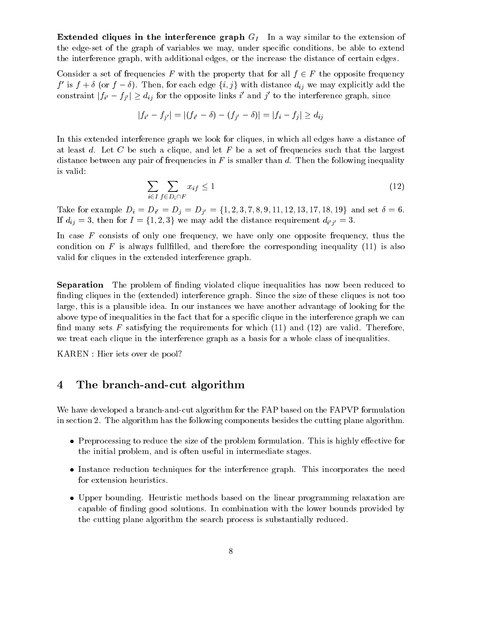Extended cliques in the interference graph GI In <sup>a</sup> way similar to the extension of the edge-set of the graph of variables we may, under specic conditions, be able to extend the interference graph, with additional edges, or the increase the distance of certain edges.

Considered at set of frequencies  $F$  with the property that for all  $f$   $\in$   $T$  the opposite frequency. f is f + 0 (or f  $\theta$ ). Then, for each edge  $\{i, j\}$  with distance  $a_{ij}$  we may explicitly add the constraint  $|j_{i'} - j_{j'}| \geq a_{ij}$  for the opposite links i and j to the interference graph, since

$$
|f_{i'} - f_{j'}| = |(f_{i'} - \delta) - (f_{j'} - \delta)| = |f_i - f_j| \ge d_{ij}
$$

In this extended interference graph we look for cliques, in which all edges have a distance of at least d. Let C be such a clique, and let F be a set of frequencies such that the largest distance between any pair of frequencies in  $F$  is smaller than  $d$ . Then the following inequality is valid:

$$
\sum_{i \in I} \sum_{f \in D_i \cap F} x_{if} \le 1 \tag{12}
$$

 $T_{\text{corr}}$  for example  $T_i = T_i = T_j - T_j$  (1, 1, 2);  $(1, 0, 1, 2, 1, 2, 1, 2, 1, 2, 1)$  and set  $\sigma$  or  $\mathbf{r} = \mathbf{r}$  ,  $\mathbf{r} = \mathbf{r}$  is a set of the distance requirement of  $\mathbf{r}$ 

In case  $F$  consists of only one frequency, we have only one opposite frequency, thus the condition on  $F$  is always fullfilled, and therefore the corresponding inequality (11) is also valid for cliques in the extended interference graph.

**Separation** The problem of finding violated clique inequalities has now been reduced to finding cliques in the (extended) interference graph. Since the size of these cliques is not too large, this is a plausible idea. In our instances we have another advantage of looking for the above type of inequalities in the fact that for a specific clique in the interference graph we can find many sets F satisfying the requirements for which  $(11)$  and  $(12)$  are valid. Therefore, we treat each clique in the interference graph as a basis for a whole class of inequalities.

KAREN : Hier iets over de pool?

#### The branch-and-cut algorithm  $\overline{4}$

We have developed a branch-and-cut algorithm for the FAP based on the FAPVP formulation in section 2. The algorithm has the following components besides the cutting plane algorithm.

- $\bullet$  Preprocessing to reduce the size of the problem formulation. This is highly effective for the initial problem, and is often useful in intermediate stages.
- Instance reduction techniques for the interference graph. This incorporates the need for extension heuristics.
- Upper bounding. Heuristic methods based on the linear programming relaxation are capable of finding good solutions. In combination with the lower bounds provided by the cutting plane algorithm the search process is substantially reduced.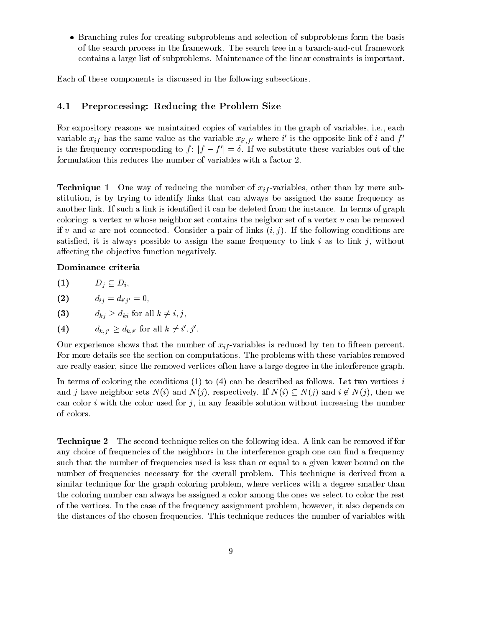Branching rules for creating subproblems and selection of subproblems form the basis of the search process in the framework. The search tree in a branch-and-cut framework contains a large list of subproblems. Maintenance of the linear constraints is important.

Each of these components is discussed in the following subsections.

### Preprocessing: Reducing the Problem Size

For expository reasons we maintained copies of variables in the graph of variables, i.e., each variable  $x_{if}$  has the same value as the variable  $x_{i',f'}$  where  $i$  is the opposite link of  $i$  and  $f$ is the frequency corresponding to  $f: |f - f'| = \delta$ . If we substitute these variables out of the formulation this reduces the number of variables with a factor 2.

 $\blacksquare$ stitution, is by trying to identify links that can always be assigned the same frequency as another link. If such a link is identied it can be deleted from the instance. In terms of graph coloring: a vertex  $w$  whose neighbor set contains the neigbor set of a vertex  $v$  can be removed if v and w are not connected. Consider a pair of links  $(i, j)$ . If the following conditions are satisfied, it is always possible to assign the same frequency to link i as to link j, without affecting the objective function negatively.

#### Dominance criteria

| (1) | $D_i \subseteq D_i$ |  |
|-----|---------------------|--|
|     | - -                 |  |

- $(2)$  $\sim i$ ,  $\sim$ ,
- $(3)$  $d_{ki} \geq d_{ki}$  for all  $k \neq i, j$ ,
- (4)  $a_{k,j'} \geq a_{k,i'}$  for all  $\kappa \neq i,j$ .

Our experience shows that the number of xif -variables is reduced by ten to fteen percent. For more details see the section on computations. The problems with these variables removed are really easier, since the removed vertices often have a large degree in the interference graph.

In terms of coloring the conditions  $(1)$  to  $(4)$  can be described as follows. Let two vertices i and j have neighbor sets not if  $\setminus$  and  $\setminus$  (j), respectively. If  $\setminus$  if  $\setminus$  (j), and if  $f$  if  $\setminus$  (j), then we we can color i with the color used for j, in any feasible solution without increasing the number of colors.

Technique 2 The second technique relies on the following idea. A link can be removed if for any choice of frequencies of the neighbors in the interference graph one can find a frequency such that the number of frequencies used is less than or equal to a given lower bound on the number of frequencies necessary for the overall problem. This technique is derived from a similar technique for the graph coloring problem, where vertices with a degree smaller than the coloring number can always be assigned a color among the ones we select to color the rest of the vertices. In the case of the frequency assignment problem, however, it also depends on the distances of the chosen frequencies. This technique reduces the number of variables with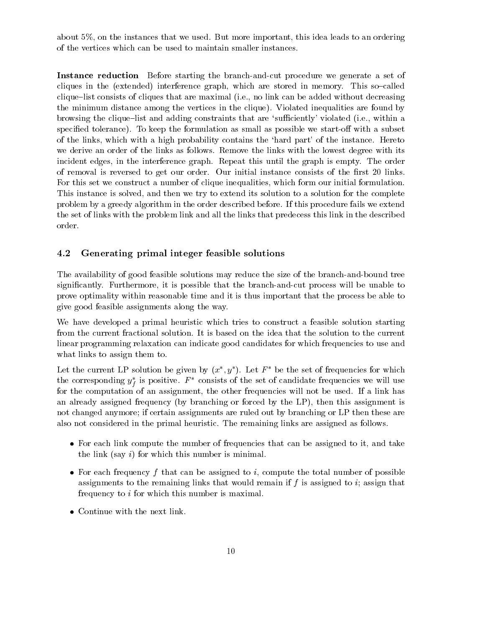about 5%, on the instances that we used. But more important, this idea leads to an ordering of the vertices which can be used to maintain smaller instances.

Instance reduction Before starting the branch-and-cut procedure we generate a set of cliques in the (extended) interference graph, which are stored in memory. This so-called clique-list consists of cliques that are maximal (i.e., no link can be added without decreasing the minimum distance among the vertices in the clique). Violated inequalities are found by browsing the clique-list and adding constraints that are 'sufficiently' violated (i.e., within a specified tolerance). To keep the formulation as small as possible we start-off with a subset of the links, which with a high probability contains the `hard part' of the instance. Hereto we derive an order of the links as follows. Remove the links with the lowest degree with its incident edges, in the interference graph. Repeat this until the graph is empty. The order of removal is reversed to get our order. Our initial instance consists of the first 20 links. For this set we construct a number of clique inequalities, which form our initial formulation. This instance is solved, and then we try to extend its solution to a solution for the complete problem by a greedy algorithm in the order described before. If this procedure fails we extend the set of links with the problem link and all the links that predecess this link in the described order.

#### 4.2Generating primal integer feasible solutions

The availability of good feasible solutions may reduce the size of the branch-and-bound tree signicantly. Furthermore, it is possible that the branch-and-cut process will be unable to prove optimality within reasonable time and it is thus important that the process be able to give good feasible assignments along the way.

We have developed a primal heuristic which tries to construct a feasible solution starting from the current fractional solution. It is based on the idea that the solution to the current linear programming relaxation can indicate good candidates for which frequencies to use and what links to assign them to.

Let the current LP solution be given by  $(x^-, y^-)$ . Let  $\varGamma$  be the set of frequencies for which the corresponding  $y_t$  is positive.  $F$  -consists of the set of candidate frequencies we will use ffor the computation of an assignment, the other frequencies will not be used. If a link has an already assigned frequency (by branching or forced by the LP), then this assignment is not changed anymore; if certain assignments are ruled out by branching or LP then these are also not considered in the primal heuristic. The remaining links are assigned as follows.

- For each link compute the number of frequencies that can be assigned to it, and take the link (say  $i$ ) for which this number is minimal.
- For each frequency  $f$  that can be assigned to  $i$ , compute the total number of possible assignments to the remaining links that would remain if  $f$  is assigned to  $i$ ; assign that frequency to <sup>i</sup> for which this number is maximal.
- Continue with the next link.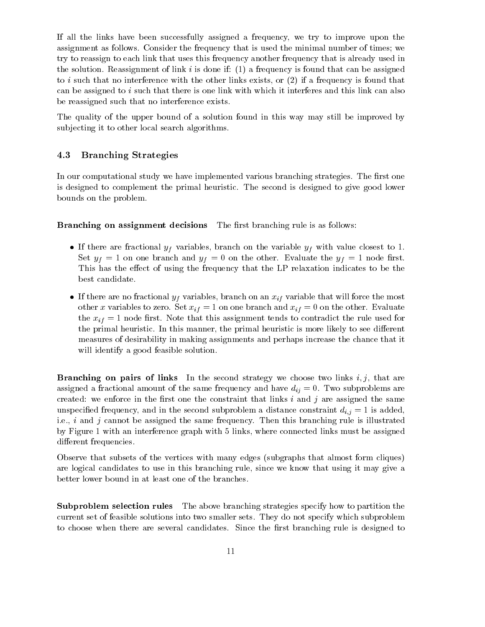If all the links have been successfully assigned a frequency, we try to improve upon the assignment as follows. Consider the frequency that is used the minimal number of times; we try to reassign to each link that uses this frequency another frequency that is already used in the solution. Reassignment of link  $i$  is done if: (1) a frequency is found that can be assigned to i such that no interference with the other links exists, or  $(2)$  if a frequency is found that can be assigned to  $i$  such that there is one link with which it interferes and this link can also be reassigned such that no interference exists.

The quality of the upper bound of a solution found in this way may still be improved by subjecting it to other local search algorithms.

#### 4.3Branching Strategies

In our computational study we have implemented various branching strategies. The first one is designed to complement the primal heuristic. The second is designed to give good lower bounds on the problem.

**Branching on assignment decisions** The first branching rule is as follows:

- If there are fractional  $y_f$  variables, branch on the variable  $y_f$  with value closest to 1.  $S \sim \mathcal{S}(y)$  , and one because the  $y$   $\vert$  or the other. Evaluate the  $y$   $\vert$  , and the set of  $\mathcal{S}$ This has the effect of using the frequency that the LP relaxation indicates to be the best candidate.
- If there are no fractional  $y_f$  variables, branch on an  $x_{if}$  variable that will force the most  $\sim$  variables to here. Set  $\omega_{ij}$  = 1 on one branch and  $\omega_{ij}$  = 0 on the other. Evaluate the xif = 1 node rst. Note that this assignment tends to contradict the rule used for the primal heuristic. In this manner, the primal heuristic is more likely to see different measures of desirability in making assignments and perhaps increase the chance that it will identify a good feasible solution.

**Branching on pairs of links** In the second strategy we choose two links  $i, j$ , that are assigned a fractional amount of the same frequency and have dij = 0. Two subproblems are created: we enforce in the first one the constraint that links  $i$  and  $j$  are assigned the same under the second frequency, and in the second subproblem as distance constraint distance  $\{i\}$  = 1 is added, in i.e.,  $i$  and  $j$  cannot be assigned the same frequency. Then this branching rule is illustrated by Figure 1 with an interference graph with 5 links, where connected links must be assigned different frequencies.

Observe that subsets of the vertices with many edges (subgraphs that almost form cliques) are logical candidates to use in this branching rule, since we know that using it may give a better lower bound in at least one of the branches.

Subproblem selection rules The above branching strategies specify how to partition the current set of feasible solutions into two smaller sets. They do not specify which subproblem to choose when there are several candidates. Since the first branching rule is designed to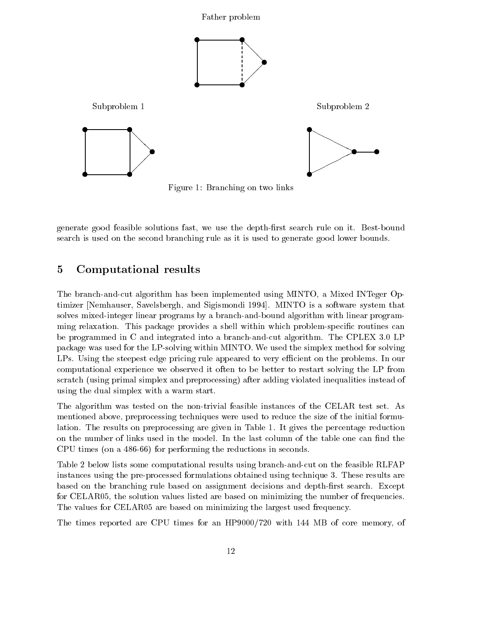

Figure 1: Branching on two links

generate good feasible solutions fast, we use the depth-first search rule on it. Best-bound search is used on the second branching rule as it is used to generate good lower bounds.

### 5 Computational results

The branch-and-cut algorithm has been implemented using MINTO, a Mixed INTeger Optimizer [Nemhauser, Savelsbergh, and Sigismondi 1994]. MINTO is a software system that solves mixed-integer linear programs by a branch-and-bound algorithm with linear programming relaxation. This package provides a shell within which problem-specific routines can be programmed in C and integrated into a branch-and-cut algorithm. The CPLEX 3.0 LP package was used for the LP-solving within MINTO. We used the simplex method for solving LPs. Using the steepest edge pricing rule appeared to very efficient on the problems. In our computational experience we observed it often to be better to restart solving the LP from scratch (using primal simplex and preprocessing) after adding violated inequalities instead of using the dual simplex with a warm start.

The algorithm was tested on the non-trivial feasible instances of the CELAR test set. As mentioned above, preprocessing techniques were used to reduce the size of the initial formulation. The results on preprocessing are given in Table 1. It gives the percentage reduction on the number of links used in the model. In the last column of the table one can find the CPU times (on a 486-66) for performing the reductions in seconds.

Table 2 below lists some computational results using branch-and-cut on the feasible RLFAP instances using the pre-processed formulations obtained using technique 3. These results are based on the branching rule based on assignment decisions and depth-first search. Except for CELAR05, the solution values listed are based on minimizing the number of frequencies. The values for CELAR05 are based on minimizing the largest used frequency.

The times reported are CPU times for an HP9000/720 with 144 MB of core memory, of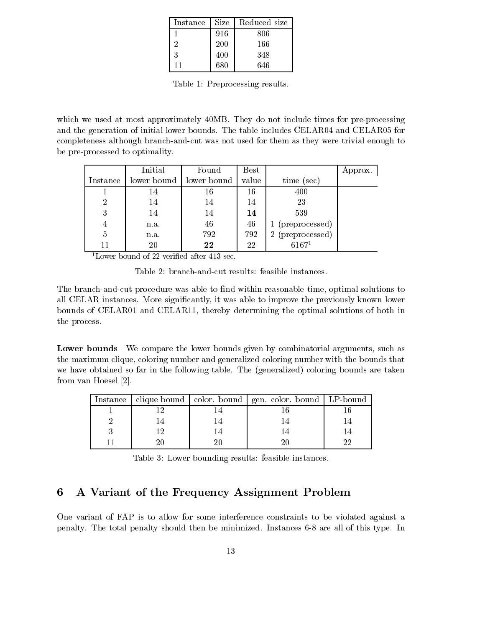| Instance | Size | Reduced size |
|----------|------|--------------|
|          | 916  | 806          |
| 2        | 200  | 166          |
| 3        | 400  | 348          |
|          | 680  | 646          |

Table 1: Preprocessing results.

which we used at most approximately 40MB. They do not include times for pre-processing and the generation of initial lower bounds. The table includes CELAR04 and CELAR05 for completeness although branch-and-cut was not used for them as they were trivial enough to be pre-processed to optimality.

|                | Initial     | Found       | $_{\rm Best}$ |                                 | Approx. |
|----------------|-------------|-------------|---------------|---------------------------------|---------|
| Instance       | lower bound | lower bound | value         | time (sec)                      |         |
|                | 14          | 16          | 16            | 400                             |         |
| $\overline{2}$ | 14          | 14          | 14            | 23                              |         |
| 3              | 14          | 14          | 14            | 539                             |         |
| 4              | n.a.        | 46          | 46            | 1 (preprocessed)                |         |
| 5              | n.a.        | 792         | 792           | (preprocessed)<br>$6167^1$<br>2 |         |
|                | 20          | 22          | 22            |                                 |         |

<sup>1</sup>Lower bound of 22 verified after  $413$  sec.

Table 2: branch-and-cut results: feasible instances.

The branch-and-cut procedure was able to find within reasonable time, optimal solutions to all CELAR instances. More signicantly, it was able to improve the previously known lower bounds of CELAR01 and CELAR11, thereby determining the optimal solutions of both in the process.

Lower bounds We compare the lower bounds given by combinatorial arguments, such as the maximum clique, coloring number and generalized coloring number with the bounds that we have obtained so far in the following table. The (generalized) coloring bounds are taken from van Hoesel [2].

|  |    | Instance   clique bound   color. bound   gen. color. bound   LP-bound |  |
|--|----|-----------------------------------------------------------------------|--|
|  |    |                                                                       |  |
|  |    |                                                                       |  |
|  |    |                                                                       |  |
|  | 20 |                                                                       |  |

Table 3: Lower bounding results: feasible instances.

## 6 A Variant of the Frequency Assignment Problem

One variant of FAP is to allow for some interference constraints to be violated against a penalty. The total penalty should then be minimized. Instances 6-8 are all of this type. In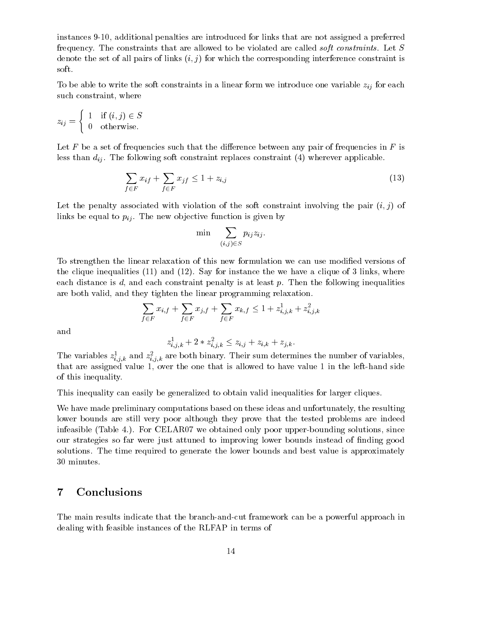instances 9-10, additional penalties are introduced for links that are not assigned a preferred frequency. The constraints that are allowed to be violated are called soft constraints. Let <sup>S</sup> denote the set of all pairs of links  $(i, j)$  for which the corresponding interference constraint is soft.

To be able to write the soft constraints in a linear form we internal weak form  $\alpha$  and  $\alpha$ such constraint, where

$$
z_{ij} = \begin{cases} 1 & \text{if } (i,j) \in S \\ 0 & \text{otherwise.} \end{cases}
$$

Let  $F$  be a set of frequencies such that the difference between any pair of frequencies in  $F$  is less than dij . The following soft constraint replaces constraint (4) wherever applicable.

$$
\sum_{f \in F} x_{if} + \sum_{f \in F} x_{jf} \le 1 + z_{i,j} \tag{13}
$$

Let the penalty associated with violation of the soft constraint involving the pair  $(i, j)$  of limit be equal to  $p_{ij}$ . The new objective function is  $\mathbf{A}$  . On by

$$
\min \quad \sum_{(i,j) \in S} p_{ij} z_{ij}.
$$

To strengthen the linear relaxation of this new formulation we can use modied versions of the clique inequalities  $(11)$  and  $(12)$ . Say for instance the we have a clique of 3 links, where each distance is  $d$ , and each constraint penalty is at least  $p$ . Then the following inequalities are both valid, and they tighten the linear programming relaxation.

$$
\sum_{f \in F} x_{i,f} + \sum_{f \in F} x_{j,f} + \sum_{f \in F} x_{k,f} \le 1 + z_{i,j,k}^1 + z_{i,j,k}^2
$$

and

$$
z_{i,j,k}^1 + 2 \ast z_{i,j,k}^2 \leq z_{i,j} + z_{i,k} + z_{j,k}.
$$

The variables  $z_{i,j,k}$  and  $z_{i,j,k}$  are both binary. Their sum determines the number of variables, that are assigned value 1, over the one that is allowed to have value 1 in the left-hand side of this inequality.

This inequality can easily be generalized to obtain valid inequalities for larger cliques.

We have made preliminary computations based on these ideas and unfortunately, the resulting lower bounds are still very poor although they prove that the tested problems are indeed infeasible (Table 4.). For CELAR07 we obtained only poor upper-bounding solutions, since our strategies so far were just attuned to improving lower bounds instead of nding good solutions. The time required to generate the lower bounds and best value is approximately 30 minutes.

### 7 Conclusions

The main results indicate that the branch-and-cut framework can be a powerful approach in dealing with feasible instances of the RLFAP in terms of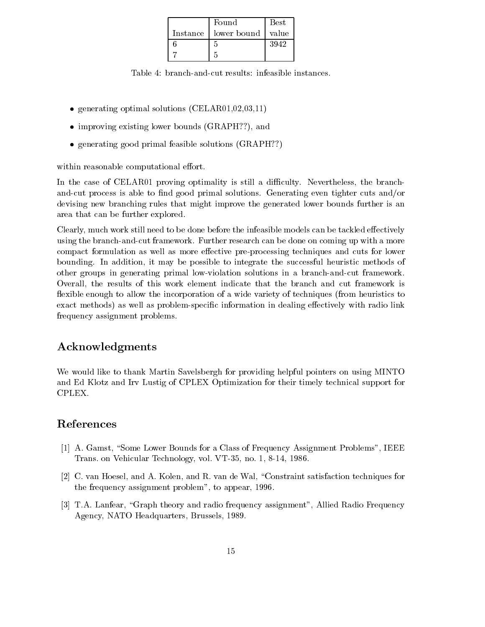| Found                          | $_{\rm Best}$ |
|--------------------------------|---------------|
| Instance   lower bound   value |               |
|                                | 3942          |
|                                |               |

Table 4: branch-and-cut results: infeasible instances.

- generating optimal solutions (CELAR01,02,03,11)
- improving existing lower bounds (GRAPH??), and
- generating good primal feasible solutions (GRAPH??)

within reasonable computational effort.

In the case of CELAR01 proving optimality is still a difficulty. Nevertheless, the branchand-cut process is able to find good primal solutions. Generating even tighter cuts and/or devising new branching rules that might improve the generated lower bounds further is an area that can be further explored.

Clearly, much work still need to be done before the infeasible models can be tackled effectively using the branch-and-cut framework. Further research can be done on coming up with a more compact formulation as well as more effective pre-processing techniques and cuts for lower bounding. In addition, it may be possible to integrate the successful heuristic methods of other groups in generating primal low-violation solutions in a branch-and-cut framework. Overall, the results of this work element indicate that the branch and cut framework is flexible enough to allow the incorporation of a wide variety of techniques (from heuristics to exact methods) as well as problem-specific information in dealing effectively with radio link frequency assignment problems.

## Acknowledgments

We would like to thank Martin Savelsbergh for providing helpful pointers on using MINTO and Ed Klotz and Irv Lustig of CPLEX Optimization for their timely technical support for

### References

- [1] A. Gamst, "Some Lower Bounds for a Class of Frequency Assignment Problems", IEEE Trans. on Vehicular Technology, vol. VT-35, no. 1, 8-14, 1986.
- [2] C. van Hoesel, and A. Kolen, and R. van de Wal, \Constraint satisfaction techniques for the frequency assignment problem", to appear, 1996.
- [3] T.A. Lanfear, "Graph theory and radio frequency assignment", Allied Radio Frequency Agency, NATO Headquarters, Brussels, 1989.